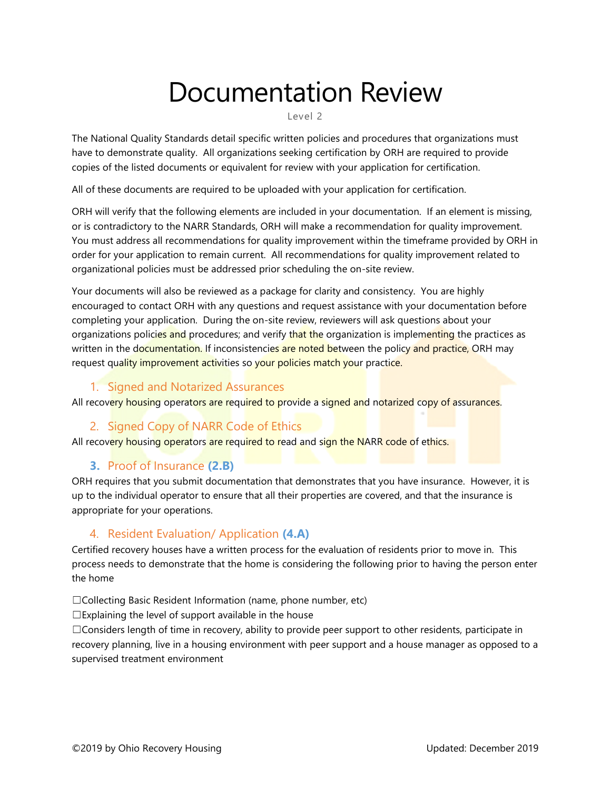# Documentation Review

Level 2

The National Quality Standards detail specific written policies and procedures that organizations must have to demonstrate quality. All organizations seeking certification by ORH are required to provide copies of the listed documents or equivalent for review with your application for certification.

All of these documents are required to be uploaded with your application for certification.

ORH will verify that the following elements are included in your documentation. If an element is missing, or is contradictory to the NARR Standards, ORH will make a recommendation for quality improvement. You must address all recommendations for quality improvement within the timeframe provided by ORH in order for your application to remain current. All recommendations for quality improvement related to organizational policies must be addressed prior scheduling the on-site review.

Your documents will also be reviewed as a package for clarity and consistency. You are highly encouraged to contact ORH with any questions and request assistance with your documentation before completing your application. During the on-site review, reviewers will ask questions about your organizations policies and procedures; and verify that the organization is implementing the practices as written in the documentation. If inconsistencies are noted between the policy and practice, ORH may request quality improvement activities so your policies match your practice.

#### 1. Signed and Notarized Assurances

All recovery housing operators are required to provide a signed and notarized copy of assurances.

#### 2. Signed Copy of NARR Code of Ethics

All recovery housing operators are required to read and sign the NARR code of ethics.

#### **3.** Proof of Insurance **(2.B)**

ORH requires that you submit documentation that demonstrates that you have insurance. However, it is up to the individual operator to ensure that all their properties are covered, and that the insurance is appropriate for your operations.

#### 4. Resident Evaluation/ Application **(4.A)**

Certified recovery houses have a written process for the evaluation of residents prior to move in. This process needs to demonstrate that the home is considering the following prior to having the person enter the home

☐Collecting Basic Resident Information (name, phone number, etc)

 $\square$ Explaining the level of support available in the house

☐Considers length of time in recovery, ability to provide peer support to other residents, participate in recovery planning, live in a housing environment with peer support and a house manager as opposed to a supervised treatment environment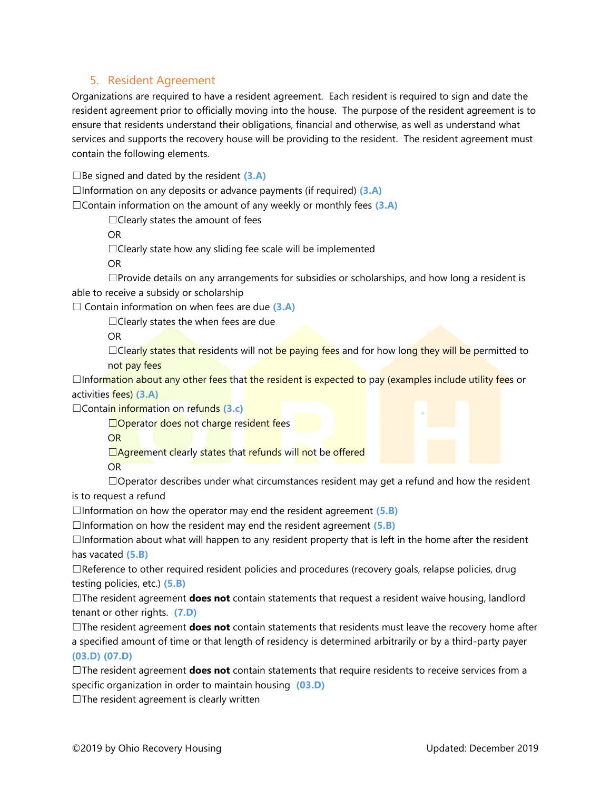#### 5. Resident Agreement

Organizations are required to have a resident agreement. Each resident is required to sign and date the resident agreement prior to officially moving into the house. The purpose of the resident agreement is to ensure that residents understand their obligations, financial and otherwise, as well as understand what services and supports the recovery house will be providing to the resident. The resident agreement must contain the following elements.

☐Be signed and dated by the resident **(3.A)**

☐Information on any deposits or advance payments (if required) **(3.A)**

☐Contain information on the amount of any weekly or monthly fees **(3.A)**

 $\Box$ Clearly states the amount of fees

OR

 $\Box$ Clearly state how any sliding fee scale will be implemented

OR

 $\square$ Provide details on any arrangements for subsidies or scholarships, and how long a resident is able to receive a subsidy or scholarship

☐ Contain information on when fees are due **(3.A)**

☐Clearly states the when fees are due

OR

□Clearly states that residents will not be paying fees and for how long they will be permitted to not pay fees

 $\Box$ Information about any other fees that the resident is expected to pay (examples include utility fees or activities fees) **(3.A)**

☐Contain information on refunds **(3.c)**

□Operator does not charge resident fees

OR

□Agreement clearly states that refunds will not be offered

OR

 $\Box$ Operator describes under what circumstances resident may get a refund and how the resident

is to request a refund

☐Information on how the operator may end the resident agreement **(5.B)**

☐Information on how the resident may end the resident agreement **(5.B)**

☐Information about what will happen to any resident property that is left in the home after the resident has vacated **(5.B)**

 $\Box$ Reference to other required resident policies and procedures (recovery goals, relapse policies, drug testing policies, etc.) **(5.B)**

☐The resident agreement **does not** contain statements that request a resident waive housing, landlord tenant or other rights. **(7.D)**

☐The resident agreement **does not** contain statements that residents must leave the recovery home after a specified amount of time or that length of residency is determined arbitrarily or by a third-party payer **(03.D) (07.D)**

☐The resident agreement **does not** contain statements that require residents to receive services from a specific organization in order to maintain housing **(03.D)**

 $\Box$ The resident agreement is clearly written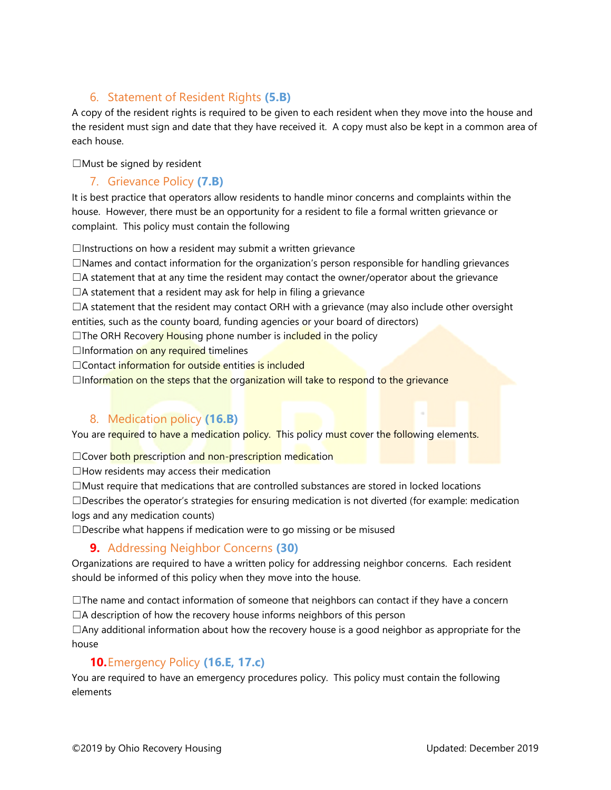### 6. Statement of Resident Rights **(5.B)**

A copy of the resident rights is required to be given to each resident when they move into the house and the resident must sign and date that they have received it. A copy must also be kept in a common area of each house.

☐Must be signed by resident

#### 7. Grievance Policy **(7.B)**

It is best practice that operators allow residents to handle minor concerns and complaints within the house. However, there must be an opportunity for a resident to file a formal written grievance or complaint. This policy must contain the following

 $\Box$ Instructions on how a resident may submit a written grievance

 $\square$ Names and contact information for the organization's person responsible for handling grievances

 $\Box$ A statement that at any time the resident may contact the owner/operator about the grievance

 $\Box$ A statement that a resident may ask for help in filing a grievance

 $\Box$ A statement that the resident may contact ORH with a grievance (may also include other oversight entities, such as the county board, funding agencies or your board of directors)

 $\Box$ The ORH Recovery Housing phone number is included in the policy

 $\Box$ Information on any required timelines

□Contact information for outside entities is included

 $\Box$ Information on the steps that the organization will take to respond to the grievance

# 8. Medication policy **(16.B)**

You are required to have a medication policy. This policy must cover the following elements.

□Cover both prescription and non-prescription medication

 $\Box$  How residents may access their medication

☐Must require that medications that are controlled substances are stored in locked locations

 $\square$ Describes the operator's strategies for ensuring medication is not diverted (for example: medication logs and any medication counts)

 $\square$ Describe what happens if medication were to go missing or be misused

#### **9.** Addressing Neighbor Concerns **(30)**

Organizations are required to have a written policy for addressing neighbor concerns. Each resident should be informed of this policy when they move into the house.

 $\Box$ The name and contact information of someone that neighbors can contact if they have a concern  $\Box$ A description of how the recovery house informs neighbors of this person

 $\Box$ Any additional information about how the recovery house is a good neighbor as appropriate for the house

#### **10.**Emergency Policy **(16.E, 17.c)**

You are required to have an emergency procedures policy. This policy must contain the following elements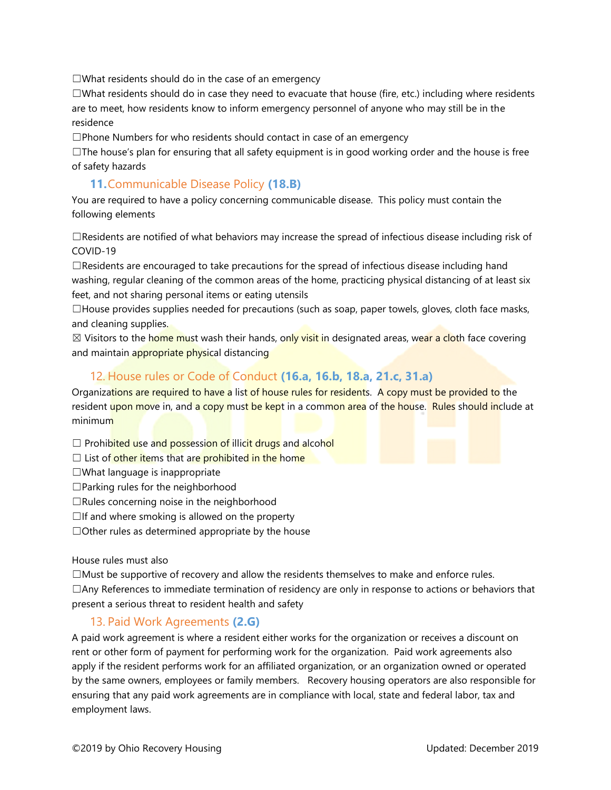$\Box$ What residents should do in the case of an emergency

☐What residents should do in case they need to evacuate that house (fire, etc.) including where residents are to meet, how residents know to inform emergency personnel of anyone who may still be in the residence

☐Phone Numbers for who residents should contact in case of an emergency

 $\Box$ The house's plan for ensuring that all safety equipment is in good working order and the house is free of safety hazards

#### **11.**Communicable Disease Policy **(18.B)**

You are required to have a policy concerning communicable disease. This policy must contain the following elements

 $\Box$ Residents are notified of what behaviors may increase the spread of infectious disease including risk of COVID-19

 $\Box$ Residents are encouraged to take precautions for the spread of infectious disease including hand washing, regular cleaning of the common areas of the home, practicing physical distancing of at least six feet, and not sharing personal items or eating utensils

 $\Box$ House provides supplies needed for precautions (such as soap, paper towels, gloves, cloth face masks, and cleaning supplies.

 $\boxtimes$  Visitors to the home must wash their hands, only visit in designated areas, wear a cloth face covering and maintain appropriate physical distancing

#### 12. House rules or Code of Conduct **(16.a, 16.b, 18.a, 21.c, 31.a)**

Organizations are required to have a list of house rules for residents. A copy must be provided to the resident upon move in, and a copy must be kept in a common area of the house. Rules should include at minimum

 $\Box$  Prohibited use and possession of illicit drugs and alcohol

- $\Box$  List of other items that are prohibited in the home
- ☐What language is inappropriate
- ☐Parking rules for the neighborhood
- $\Box$ Rules concerning noise in the neighborhood
- $\Box$ If and where smoking is allowed on the property
- $\Box$ Other rules as determined appropriate by the house

House rules must also

☐Must be supportive of recovery and allow the residents themselves to make and enforce rules. ☐Any References to immediate termination of residency are only in response to actions or behaviors that present a serious threat to resident health and safety

#### 13. Paid Work Agreements **(2.G)**

A paid work agreement is where a resident either works for the organization or receives a discount on rent or other form of payment for performing work for the organization. Paid work agreements also apply if the resident performs work for an affiliated organization, or an organization owned or operated by the same owners, employees or family members. Recovery housing operators are also responsible for ensuring that any paid work agreements are in compliance with local, state and federal labor, tax and employment laws.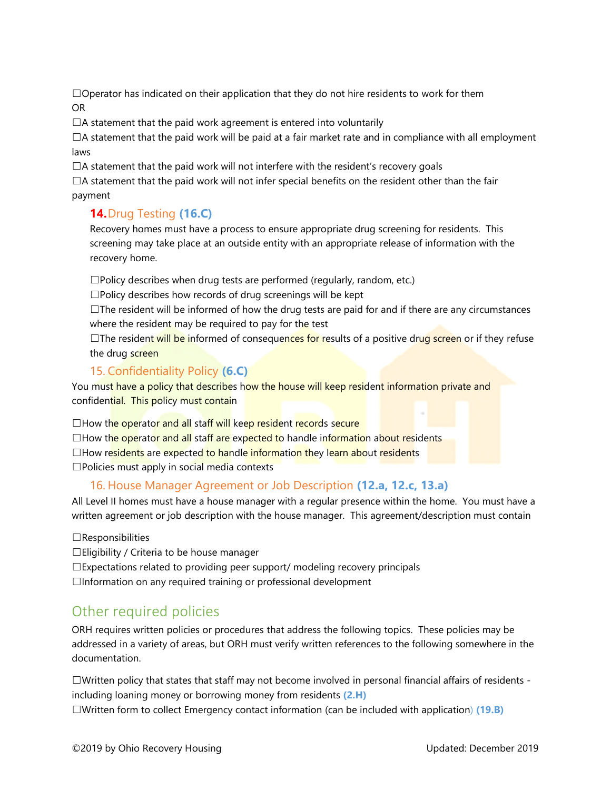$\Box$ Operator has indicated on their application that they do not hire residents to work for them OR

 $\Box$ A statement that the paid work agreement is entered into voluntarily

 $\Box$ A statement that the paid work will be paid at a fair market rate and in compliance with all employment laws

 $\Box$ A statement that the paid work will not interfere with the resident's recovery goals

 $\Box$ A statement that the paid work will not infer special benefits on the resident other than the fair payment

# **14.**Drug Testing **(16.C)**

Recovery homes must have a process to ensure appropriate drug screening for residents. This screening may take place at an outside entity with an appropriate release of information with the recovery home.

☐Policy describes when drug tests are performed (regularly, random, etc.)

 $\square$ Policy describes how records of drug screenings will be kept

 $\Box$ The resident will be informed of how the drug tests are paid for and if there are any circumstances where the resident may be required to pay for the test

 $\Box$ The resident will be informed of consequences for results of a positive drug screen or if they refuse the drug screen

#### 15. Confidentiality Policy **(6.C)**

You must have a policy that describes how the house will keep resident information private and confidential. This policy must contain

□How the operator and all staff will keep resident records secure  $\Box$ How the operator and all staff are expected to handle information about residents  $\Box$ How residents are expected to handle information they learn about residents ☐Policies must apply in social media contexts

#### 16. House Manager Agreement or Job Description **(12.a, 12.c, 13.a)**

All Level II homes must have a house manager with a regular presence within the home. You must have a written agreement or job description with the house manager. This agreement/description must contain

#### $\Box$ Responsibilities

☐Eligibility / Criteria to be house manager

☐Expectations related to providing peer support/ modeling recovery principals

 $\Box$ Information on any required training or professional development

# Other required policies

ORH requires written policies or procedures that address the following topics. These policies may be addressed in a variety of areas, but ORH must verify written references to the following somewhere in the documentation.

☐Written policy that states that staff may not become involved in personal financial affairs of residents including loaning money or borrowing money from residents **(2.H)** ☐Written form to collect Emergency contact information (can be included with application) **(19.B)**